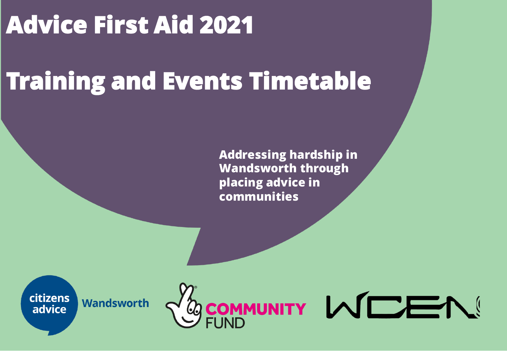### **Advice First Aid 2021**

## **Training and Events Timetable**

**Addressing hardship in Wandsworth through placing advice in communities**



**Wandsworth** 

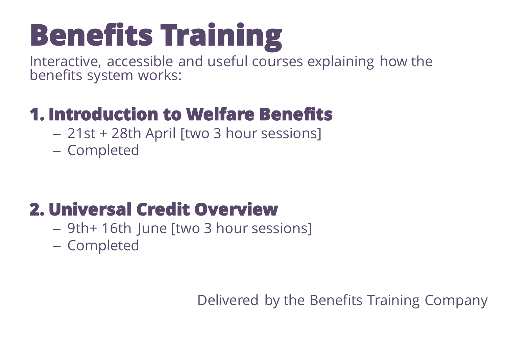# **Benefits Training**

Interactive, accessible and useful courses explaining how the benefits system works:

#### **1. Introduction to Welfare Benefits**

- 21st + 28th April [two 3 hour sessions]
- Completed

#### **2. Universal Credit Overview**

- 9th+ 16th June [two 3 hour sessions]
- Completed

Delivered by the Benefits Training Company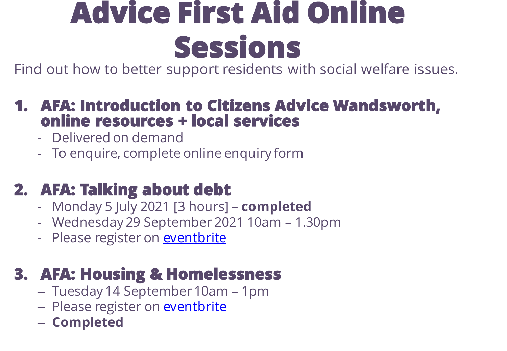## **Advice First Aid Online Sessions**

Find out how to better support residents with social welfare issues.

#### **1. AFA: Introduction to Citizens Advice Wandsworth, online resources + local services**

- Delivered on demand
- To enquire, complete online enquiry form

#### **2. AFA: Talking about debt**

- Monday 5 July 2021 [3 hours] **completed**
- Wednesday 29 September 2021 10am 1.30pm
- Please register on **[eventbrite](https://www.eventbrite.co.uk/e/advice-first-aid-talking-about-debt-tickets-165730838399)**

#### **3. AFA: Housing & Homelessness**

- Tuesday 14 September 10am 1pm
- Please register on **eventbrite**
- **Completed**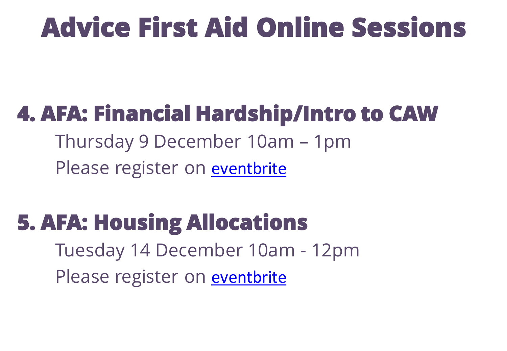## **Advice First Aid Online Sessions**

### **4. AFA: Financial Hardship/Intro to CAW**

Thursday 9 December 10am – 1pm Please register on **[eventbrite](https://www.eventbrite.co.uk/e/205670886157)** 

### **5. AFA: Housing Allocations**

Tuesday 14 December 10am - 12pm Please register on **[eventbrite](https://www.eventbrite.co.uk/e/205681658377)**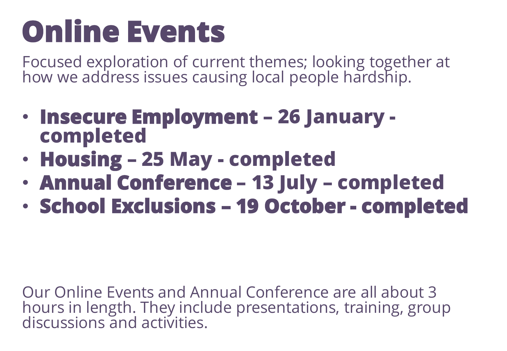## **Online Events**

Focused exploration of current themes; looking together at how we address issues causing local people hardship.

- **Insecure Employment – 26 January completed**
- **Housing – 25 May - completed**
- **Annual Conference – 13 July – completed**
- **School Exclusions – 19 October - completed**

Our Online Events and Annual Conference are all about 3 hours in length. They include presentations, training, group discussions and activities.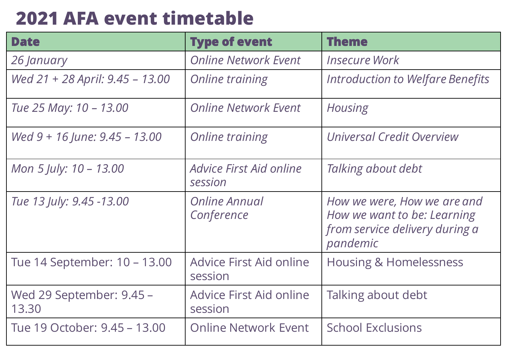#### **2021 AFA event timetable**

| <b>Date</b>                       | <b>Type of event</b>                      | <b>Theme</b>                                                                                             |
|-----------------------------------|-------------------------------------------|----------------------------------------------------------------------------------------------------------|
| 26 January                        | <b>Online Network Event</b>               | <b>Insecure Work</b>                                                                                     |
| Wed 21 + 28 April: 9.45 - 13.00   | <b>Online training</b>                    | Introduction to Welfare Benefits                                                                         |
| Tue 25 May: 10 - 13.00            | <b>Online Network Event</b>               | <b>Housing</b>                                                                                           |
| Wed $9 + 16$ June: $9.45 - 13.00$ | <b>Online training</b>                    | Universal Credit Overview                                                                                |
| Mon 5 July: 10 - 13.00            | Advice First Aid online<br>session        | Talking about debt                                                                                       |
| Tue 13 July: 9.45 -13.00          | Online Annual<br>Conference               | How we were, How we are and<br>How we want to be: Learning<br>from service delivery during a<br>pandemic |
| Tue 14 September: 10 – 13.00      | <b>Advice First Aid online</b><br>session | <b>Housing &amp; Homelessness</b>                                                                        |
| Wed 29 September: 9.45 –<br>13.30 | <b>Advice First Aid online</b><br>session | Talking about debt                                                                                       |
| Tue 19 October: 9.45 – 13.00      | <b>Online Network Event</b>               | <b>School Exclusions</b>                                                                                 |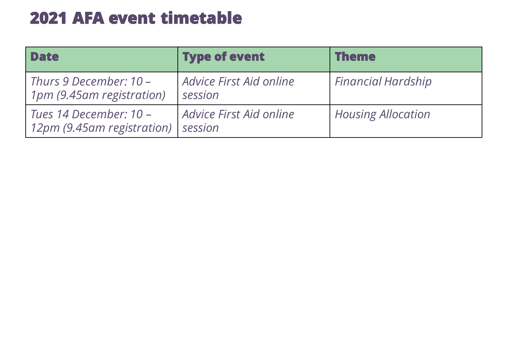#### **2021 AFA event timetable**

| <b>Date</b>                                          | <b>Type of event</b>               | <b>Theme</b>              |
|------------------------------------------------------|------------------------------------|---------------------------|
| Thurs 9 December: 10 -<br>1pm (9.45am registration)  | Advice First Aid online<br>session | <b>Financial Hardship</b> |
| Tues 14 December: 10 -<br>12pm (9.45am registration) | Advice First Aid online<br>session | <b>Housing Allocation</b> |